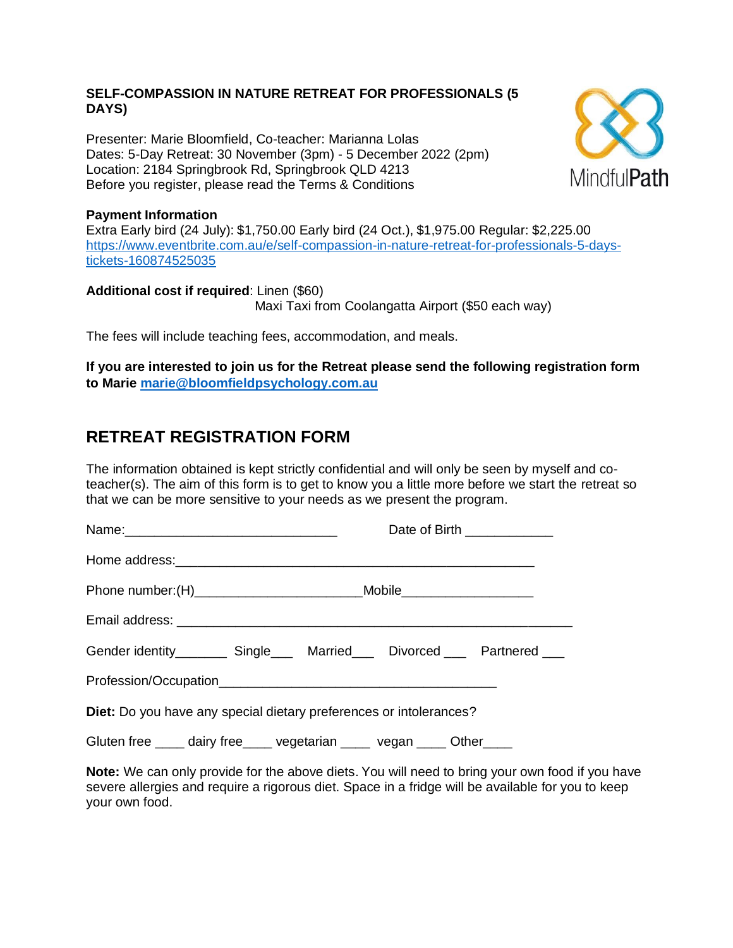## **SELF-COMPASSION IN NATURE RETREAT FOR PROFESSIONALS (5 DAYS)**

Presenter: Marie Bloomfield, Co-teacher: Marianna Lolas Dates: 5-Day Retreat: 30 November (3pm) - 5 December 2022 (2pm) Location: 2184 Springbrook Rd, Springbrook QLD 4213 Before you register, please read the Terms & Conditions



## **Payment Information**

Extra Early bird (24 July): \$1,750.00 Early bird (24 Oct.), \$1,975.00 Regular: \$2,225.00 [https://www.eventbrite.com.au/e/self-compassion-in-nature-retreat-for-professionals-5-days](https://www.eventbrite.com.au/e/self-compassion-in-nature-retreat-for-professionals-5-days-tickets-160874525035)[tickets-160874525035](https://www.eventbrite.com.au/e/self-compassion-in-nature-retreat-for-professionals-5-days-tickets-160874525035)

**Additional cost if required**: Linen (\$60) Maxi Taxi from Coolangatta Airport (\$50 each way)

The fees will include teaching fees, accommodation, and meals.

**If you are interested to join us for the Retreat please send the following registration form to Marie [marie@bloomfieldpsychology.com.au](mailto:marie@bloomfieldpsychology.com.au)**

## **RETREAT REGISTRATION FORM**

The information obtained is kept strictly confidential and will only be seen by myself and coteacher(s). The aim of this form is to get to know you a little more before we start the retreat so that we can be more sensitive to your needs as we present the program.

|                                                                                         | Date of Birth _____________ |  |  |  |  |
|-----------------------------------------------------------------------------------------|-----------------------------|--|--|--|--|
|                                                                                         |                             |  |  |  |  |
| Phone number: (H)______________________________Mobile___________________________        |                             |  |  |  |  |
|                                                                                         |                             |  |  |  |  |
| Gender identity___________ Single_______ Married_______ Divorced _______ Partnered ____ |                             |  |  |  |  |
|                                                                                         |                             |  |  |  |  |
| Diet: Do you have any special dietary preferences or intolerances?                      |                             |  |  |  |  |
| Gluten free _____ dairy free _____ vegetarian _____ vegan _____ Other ____              |                             |  |  |  |  |

**Note:** We can only provide for the above diets. You will need to bring your own food if you have severe allergies and require a rigorous diet. Space in a fridge will be available for you to keep your own food.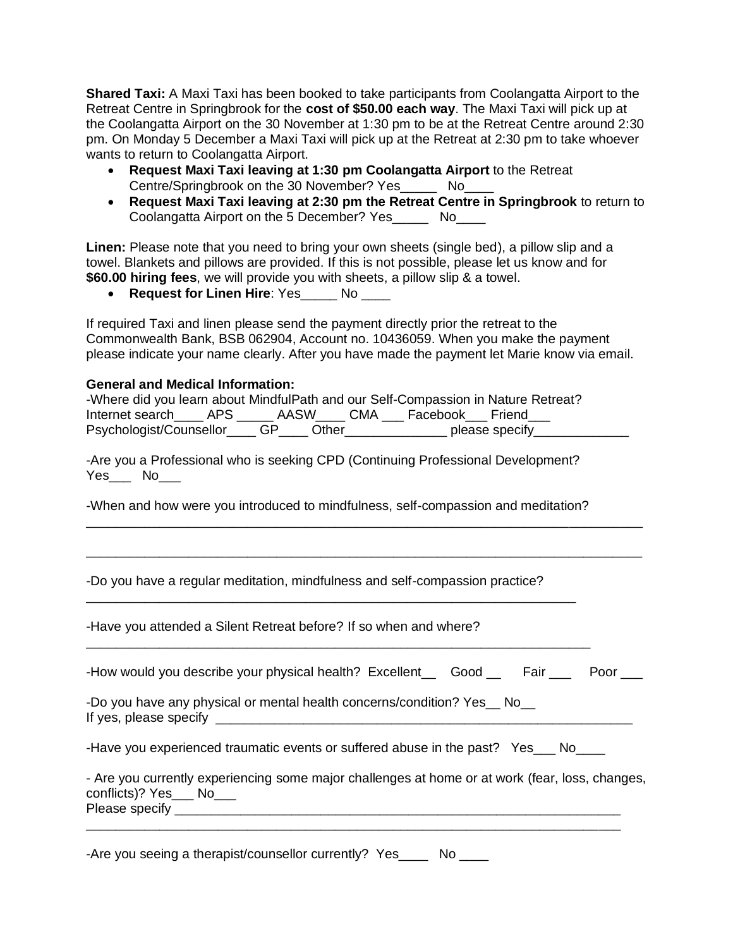**Shared Taxi:** A Maxi Taxi has been booked to take participants from Coolangatta Airport to the Retreat Centre in Springbrook for the **cost of \$50.00 each way**. The Maxi Taxi will pick up at the Coolangatta Airport on the 30 November at 1:30 pm to be at the Retreat Centre around 2:30 pm. On Monday 5 December a Maxi Taxi will pick up at the Retreat at 2:30 pm to take whoever wants to return to Coolangatta Airport.

- **Request Maxi Taxi leaving at 1:30 pm Coolangatta Airport** to the Retreat Centre/Springbrook on the 30 November? Yes\_\_\_\_\_ No\_\_\_\_
- **Request Maxi Taxi leaving at 2:30 pm the Retreat Centre in Springbrook** to return to Coolangatta Airport on the 5 December? Yes\_\_\_\_\_ No\_\_\_\_

**Linen:** Please note that you need to bring your own sheets (single bed), a pillow slip and a towel. Blankets and pillows are provided. If this is not possible, please let us know and for **\$60.00 hiring fees**, we will provide you with sheets, a pillow slip & a towel.

• **Request for Linen Hire**: Yes\_\_\_\_\_ No \_\_\_\_

If required Taxi and linen please send the payment directly prior the retreat to the Commonwealth Bank, BSB 062904, Account no. 10436059. When you make the payment please indicate your name clearly. After you have made the payment let Marie know via email.

## **General and Medical Information:**

| -Where did you learn about MindfulPath and our Self-Compassion in Nature Retreat? |          |       |                 |                |
|-----------------------------------------------------------------------------------|----------|-------|-----------------|----------------|
| Internet search APS                                                               | AASW CMA |       | Facebook Friend |                |
| Psychologist/Counsellor GP                                                        |          | Other |                 | please specify |

-Are you a Professional who is seeking CPD (Continuing Professional Development?  $Yes$  No

-When and how were you introduced to mindfulness, self-compassion and meditation?

\_\_\_\_\_\_\_\_\_\_\_\_\_\_\_\_\_\_\_\_\_\_\_\_\_\_\_\_\_\_\_\_\_\_\_\_\_\_\_\_\_\_\_\_\_\_\_\_\_\_\_\_\_\_\_\_\_\_\_\_\_\_\_\_\_\_\_\_\_\_\_\_\_\_\_\_

\_\_\_\_\_\_\_\_\_\_\_\_\_\_\_\_\_\_\_\_\_\_\_\_\_\_\_\_\_\_\_\_\_\_\_\_\_\_\_\_\_\_\_\_\_\_\_\_\_\_\_\_\_\_\_\_\_\_\_\_\_\_\_\_\_\_\_\_\_\_\_\_\_\_\_\_

-Do you have a regular meditation, mindfulness and self-compassion practice?

\_\_\_\_\_\_\_\_\_\_\_\_\_\_\_\_\_\_\_\_\_\_\_\_\_\_\_\_\_\_\_\_\_\_\_\_\_\_\_\_\_\_\_\_\_\_\_\_\_\_\_\_\_\_\_\_\_\_\_\_\_\_\_\_\_\_\_

| -Have you attended a Silent Retreat before? If so when and where?                                                           |
|-----------------------------------------------------------------------------------------------------------------------------|
| -How would you describe your physical health? Excellent_ Good _ Fair __ Poor __                                             |
| -Do you have any physical or mental health concerns/condition? Yes __ No__                                                  |
| -Have you experienced traumatic events or suffered abuse in the past? Yes___ No____                                         |
| - Are you currently experiencing some major challenges at home or at work (fear, loss, changes,<br>conflicts)? Yes___ No___ |
|                                                                                                                             |

-Are you seeing a therapist/counsellor currently? Yes\_\_\_\_ No \_\_\_